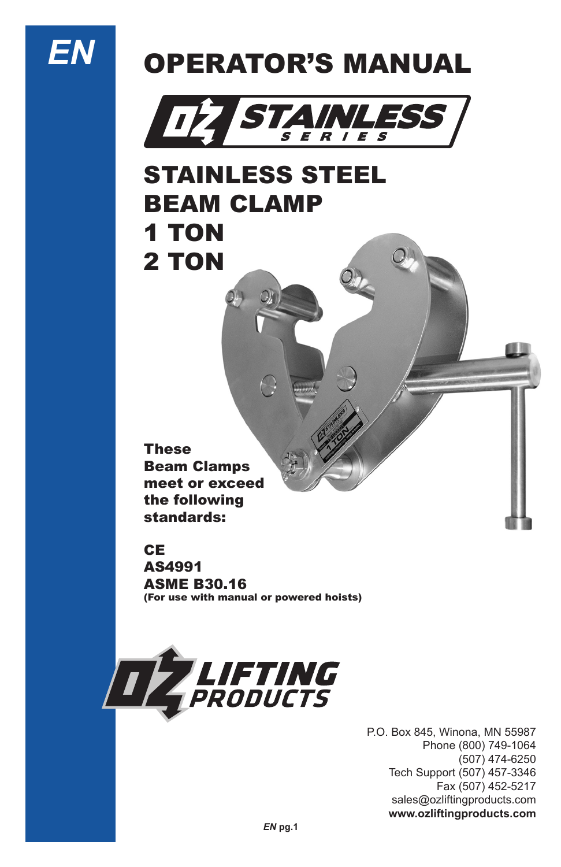

# OPERATOR'S MANUAL



### STAINLESS STEEL BEAM CLAMP 1 TON 2 TON

These Beam Clamps meet or exceed the following standards:

#### CE

AS4991 ASME B30.16 (For use with manual or powered hoists)



P.O. Box 845, Winona, MN 55987 Phone (800) 749-1064 (507) 474-6250 Tech Support (507) 457-3346 Fax (507) 452-5217 sales@ozliftingproducts.com **www.ozliftingproducts.com**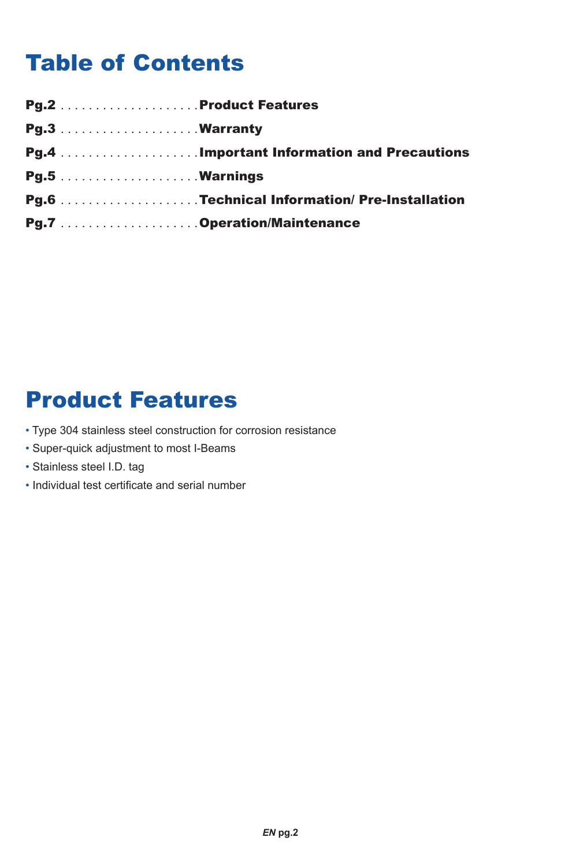### Table of Contents

| <b>Pg.6</b> Technical Information/Pre-Installation |
|----------------------------------------------------|
|                                                    |

### Product Features

- Type 304 stainless steel construction for corrosion resistance
- Super-quick adjustment to most I-Beams
- Stainless steel I.D. tag
- Individual test certificate and serial number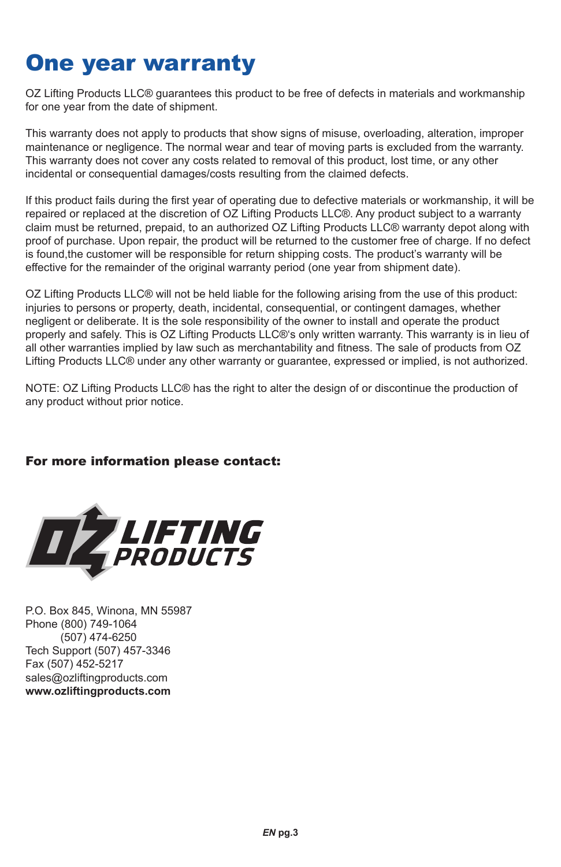### One year warranty

OZ Lifting Products LLC® guarantees this product to be free of defects in materials and workmanship for one year from the date of shipment.

This warranty does not apply to products that show signs of misuse, overloading, alteration, improper maintenance or negligence. The normal wear and tear of moving parts is excluded from the warranty. This warranty does not cover any costs related to removal of this product, lost time, or any other incidental or consequential damages/costs resulting from the claimed defects.

If this product fails during the first year of operating due to defective materials or workmanship, it will be repaired or replaced at the discretion of OZ Lifting Products LLC®. Any product subject to a warranty claim must be returned, prepaid, to an authorized OZ Lifting Products LLC® warranty depot along with proof of purchase. Upon repair, the product will be returned to the customer free of charge. If no defect is found,the customer will be responsible for return shipping costs. The product's warranty will be effective for the remainder of the original warranty period (one year from shipment date).

OZ Lifting Products LLC® will not be held liable for the following arising from the use of this product: injuries to persons or property, death, incidental, consequential, or contingent damages, whether negligent or deliberate. It is the sole responsibility of the owner to install and operate the product properly and safely. This is OZ Lifting Products LLC®'s only written warranty. This warranty is in lieu of all other warranties implied by law such as merchantability and fitness. The sale of products from OZ Lifting Products LLC® under any other warranty or guarantee, expressed or implied, is not authorized.

NOTE: OZ Lifting Products LLC® has the right to alter the design of or discontinue the production of any product without prior notice.

#### For more information please contact:



P.O. Box 845, Winona, MN 55987 Phone (800) 749-1064 (507) 474-6250 Tech Support (507) 457-3346 Fax (507) 452-5217 sales@ozliftingproducts.com **www.ozliftingproducts.com**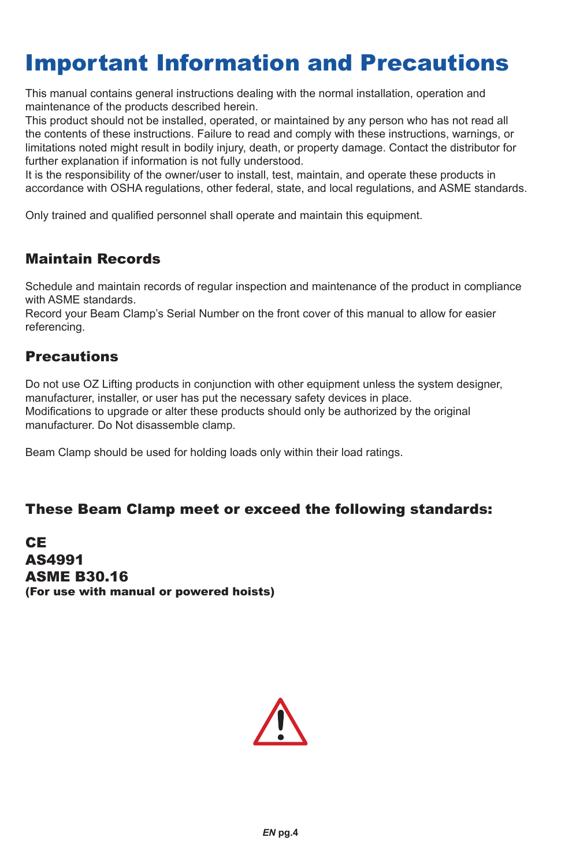### Important Information and Precautions

This manual contains general instructions dealing with the normal installation, operation and maintenance of the products described herein.

This product should not be installed, operated, or maintained by any person who has not read all the contents of these instructions. Failure to read and comply with these instructions, warnings, or limitations noted might result in bodily injury, death, or property damage. Contact the distributor for further explanation if information is not fully understood.

It is the responsibility of the owner/user to install, test, maintain, and operate these products in accordance with OSHA regulations, other federal, state, and local regulations, and ASME standards.

Only trained and qualified personnel shall operate and maintain this equipment.

#### Maintain Records

Schedule and maintain records of regular inspection and maintenance of the product in compliance with ASME standards.

Record your Beam Clamp's Serial Number on the front cover of this manual to allow for easier referencing.

#### **Precautions**

Do not use OZ Lifting products in conjunction with other equipment unless the system designer. manufacturer, installer, or user has put the necessary safety devices in place. Modifications to upgrade or alter these products should only be authorized by the original manufacturer. Do Not disassemble clamp.

Beam Clamp should be used for holding loads only within their load ratings.

#### These Beam Clamp meet or exceed the following standards:

CE AS4991 ASME B30.16 (For use with manual or powered hoists)

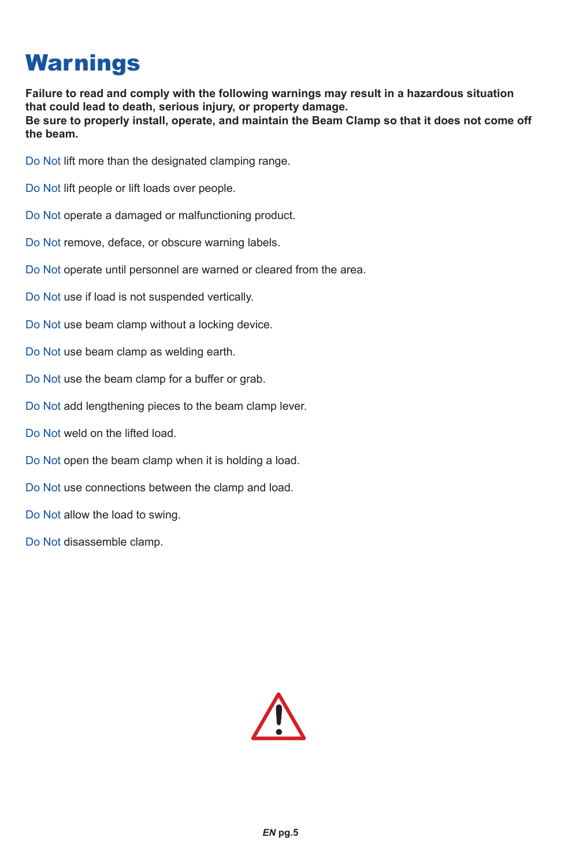### **Warnings**

**Failure to read and comply with the following warnings may result in a hazardous situation that could lead to death, serious injury, or property damage. Be sure to properly install, operate, and maintain the Beam Clamp so that it does not come off the beam.**

Do Not lift more than the designated clamping range.

Do Not lift people or lift loads over people.

Do Not operate a damaged or malfunctioning product.

Do Not remove, deface, or obscure warning labels.

Do Not operate until personnel are warned or cleared from the area.

Do Not use if load is not suspended vertically.

Do Not use beam clamp without a locking device.

Do Not use beam clamp as welding earth.

Do Not use the beam clamp for a buffer or grab.

Do Not add lengthening pieces to the beam clamp lever.

Do Not weld on the lifted load.

Do Not open the beam clamp when it is holding a load.

Do Not use connections between the clamp and load.

Do Not allow the load to swing.

Do Not disassemble clamp.

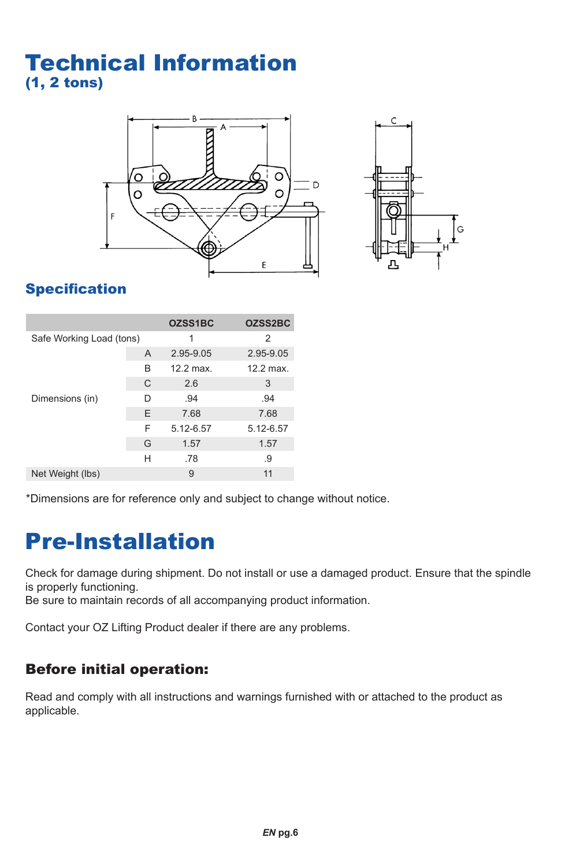### Technical Information (1, 2 tons)





### **Specification**

|                          |   | OZSS1BC   | OZSS2BC   |
|--------------------------|---|-----------|-----------|
| Safe Working Load (tons) |   | 1         | 2         |
|                          | A | 2.95-9.05 | 2.95-9.05 |
|                          | B | 12.2 max. | 12.2 max. |
|                          | C | 2.6       | 3         |
| Dimensions (in)          | D | .94       | .94       |
|                          | E | 7.68      | 7.68      |
|                          | F | 5.12-6.57 | 5.12-6.57 |
|                          | G | 1.57      | 1.57      |
|                          | н | .78       | .9        |
| Net Weight (lbs)         |   | 9         | 11        |

\*Dimensions are for reference only and subject to change without notice.

### Pre-Installation

Check for damage during shipment. Do not install or use a damaged product. Ensure that the spindle is properly functioning.

Be sure to maintain records of all accompanying product information.

Contact your OZ Lifting Product dealer if there are any problems.

### Before initial operation:

Read and comply with all instructions and warnings furnished with or attached to the product as applicable.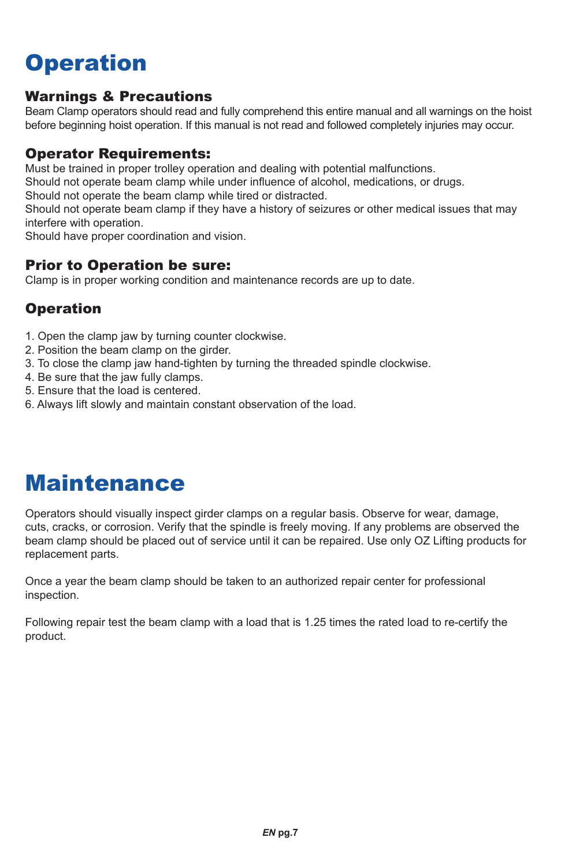### **Operation**

#### Warnings & Precautions

Beam Clamp operators should read and fully comprehend this entire manual and all warnings on the hoist before beginning hoist operation. If this manual is not read and followed completely injuries may occur.

#### Operator Requirements:

Must be trained in proper trolley operation and dealing with potential malfunctions.

Should not operate beam clamp while under influence of alcohol, medications, or drugs.

Should not operate the beam clamp while tired or distracted.

Should not operate beam clamp if they have a history of seizures or other medical issues that may interfere with operation.

Should have proper coordination and vision.

#### Prior to Operation be sure:

Clamp is in proper working condition and maintenance records are up to date.

#### **Operation**

- 1. Open the clamp jaw by turning counter clockwise.
- 2. Position the beam clamp on the girder.
- 3. To close the clamp jaw hand-tighten by turning the threaded spindle clockwise.
- 4. Be sure that the jaw fully clamps.
- 5. Ensure that the load is centered.
- 6. Always lift slowly and maintain constant observation of the load.

### Maintenance

Operators should visually inspect girder clamps on a regular basis. Observe for wear, damage, cuts, cracks, or corrosion. Verify that the spindle is freely moving. If any problems are observed the beam clamp should be placed out of service until it can be repaired. Use only OZ Lifting products for replacement parts.

Once a year the beam clamp should be taken to an authorized repair center for professional inspection.

Following repair test the beam clamp with a load that is 1.25 times the rated load to re-certify the product.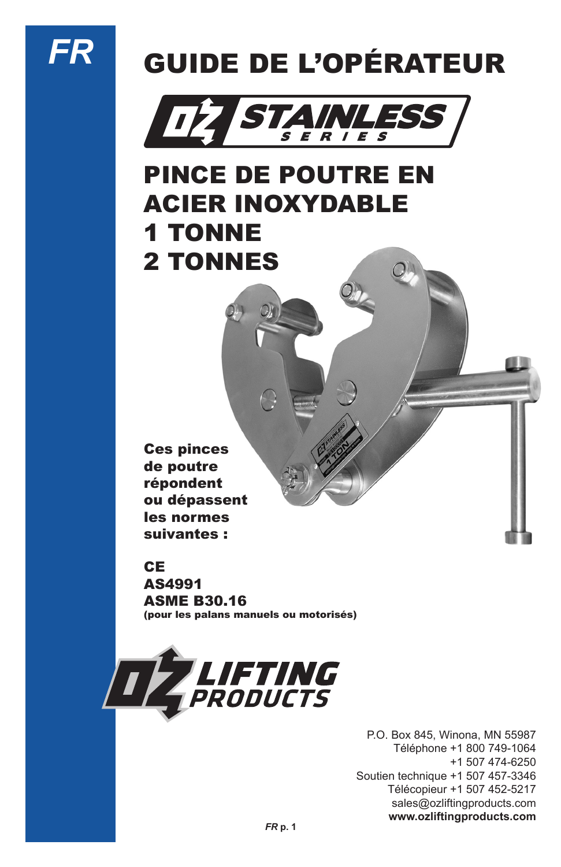# *FR*

# GUIDE DE L'OPÉRATEUR



## PINCE DE POUTRE EN ACIER INOXYDABLE 1 TONNE 2 TONNES

Ces pinces de poutre répondent ou dépassent les normes suivantes :

**CE** 

AS4991 ASME B30.16 (pour les palans manuels ou motorisés)



P.O. Box 845, Winona, MN 55987 Téléphone +1 800 749-1064 +1 507 474-6250 Soutien technique +1 507 457-3346 Télécopieur +1 507 452-5217 sales@ozliftingproducts.com **www.ozliftingproducts.com**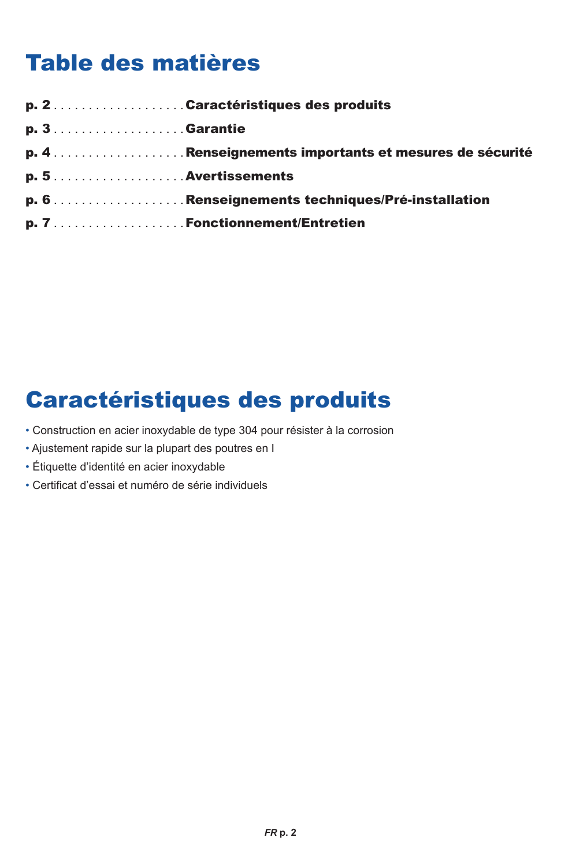### Table des matières

| $p. 3.$ Garantie      |  |
|-----------------------|--|
|                       |  |
| $p. 5$ Avertissements |  |
|                       |  |
|                       |  |

### Caractéristiques des produits

- Construction en acier inoxydable de type 304 pour résister à la corrosion
- Ajustement rapide sur la plupart des poutres en I
- Étiquette d'identité en acier inoxydable
- Certificat d'essai et numéro de série individuels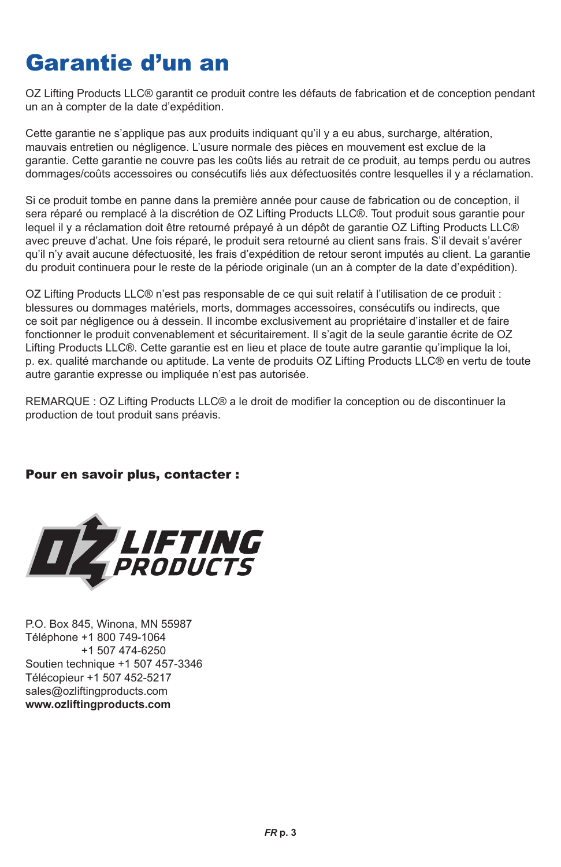### Garantie d'un an

OZ Lifting Products LLC® garantit ce produit contre les défauts de fabrication et de conception pendant un an à compter de la date d'expédition.

Cette garantie ne s'applique pas aux produits indiquant qu'il y a eu abus, surcharge, altération, mauvais entretien ou négligence. L'usure normale des pièces en mouvement est exclue de la garantie. Cette garantie ne couvre pas les coûts liés au retrait de ce produit, au temps perdu ou autres dommages/coûts accessoires ou consécutifs liés aux défectuosités contre lesquelles il y a réclamation.

Si ce produit tombe en panne dans la première année pour cause de fabrication ou de conception, il sera réparé ou remplacé à la discrétion de OZ Lifting Products LLC®. Tout produit sous garantie pour lequel il y a réclamation doit être retourné prépayé à un dépôt de garantie OZ Lifting Products LLC® avec preuve d'achat. Une fois réparé, le produit sera retourné au client sans frais. S'il devait s'avérer qu'il n'y avait aucune défectuosité, les frais d'expédition de retour seront imputés au client. La garantie du produit continuera pour le reste de la période originale (un an à compter de la date d'expédition).

OZ Lifting Products LLC® n'est pas responsable de ce qui suit relatif à l'utilisation de ce produit : blessures ou dommages matériels, morts, dommages accessoires, consécutifs ou indirects, que ce soit par négligence ou à dessein. Il incombe exclusivement au propriétaire d'installer et de faire fonctionner le produit convenablement et sécuritairement. Il s'agit de la seule garantie écrite de OZ Lifting Products LLC®. Cette garantie est en lieu et place de toute autre garantie qu'implique la loi, p. ex. qualité marchande ou aptitude. La vente de produits OZ Lifting Products LLC® en vertu de toute autre garantie expresse ou impliquée n'est pas autorisée.

REMARQUE : OZ Lifting Products LLC® a le droit de modifier la conception ou de discontinuer la production de tout produit sans préavis.

#### Pour en savoir plus, contacter :



P.O. Box 845, Winona, MN 55987 Téléphone +1 800 749-1064 +1 507 474-6250 Soutien technique +1 507 457-3346 Télécopieur +1 507 452-5217 sales@ozliftingproducts.com **www.ozliftingproducts.com**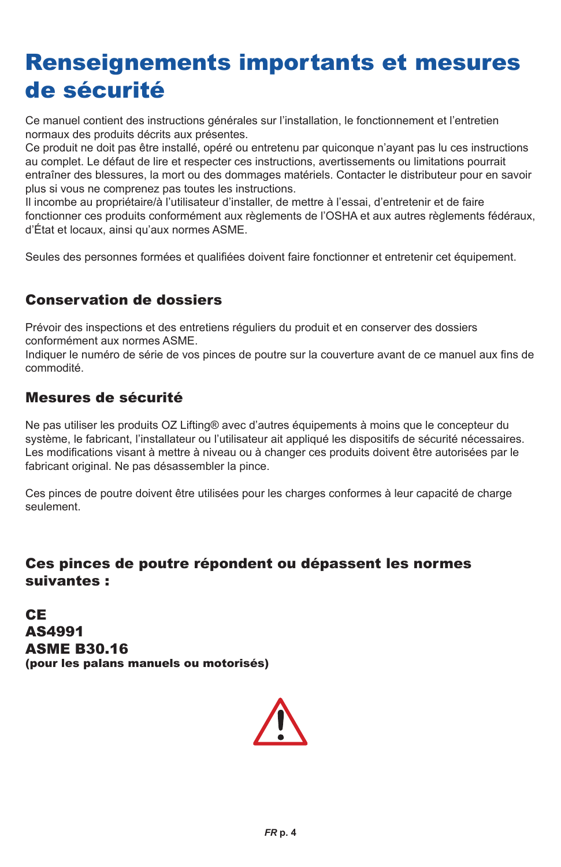### Renseignements importants et mesures de sécurité

Ce manuel contient des instructions générales sur l'installation, le fonctionnement et l'entretien normaux des produits décrits aux présentes.

Ce produit ne doit pas être installé, opéré ou entretenu par quiconque n'ayant pas lu ces instructions au complet. Le défaut de lire et respecter ces instructions, avertissements ou limitations pourrait entraîner des blessures, la mort ou des dommages matériels. Contacter le distributeur pour en savoir plus si vous ne comprenez pas toutes les instructions.

Il incombe au propriétaire/à l'utilisateur d'installer, de mettre à l'essai, d'entretenir et de faire fonctionner ces produits conformément aux règlements de l'OSHA et aux autres règlements fédéraux, d'État et locaux, ainsi qu'aux normes ASME.

Seules des personnes formées et qualifiées doivent faire fonctionner et entretenir cet équipement.

#### Conservation de dossiers

Prévoir des inspections et des entretiens réguliers du produit et en conserver des dossiers conformément aux normes ASME.

Indiquer le numéro de série de vos pinces de poutre sur la couverture avant de ce manuel aux fins de commodité.

#### Mesures de sécurité

Ne pas utiliser les produits OZ Lifting® avec d'autres équipements à moins que le concepteur du système, le fabricant, l'installateur ou l'utilisateur ait appliqué les dispositifs de sécurité nécessaires. Les modifications visant à mettre à niveau ou à changer ces produits doivent être autorisées par le fabricant original. Ne pas désassembler la pince.

Ces pinces de poutre doivent être utilisées pour les charges conformes à leur capacité de charge seulement.

#### Ces pinces de poutre répondent ou dépassent les normes suivantes :

CE AS4991 ASME B30.16 (pour les palans manuels ou motorisés)

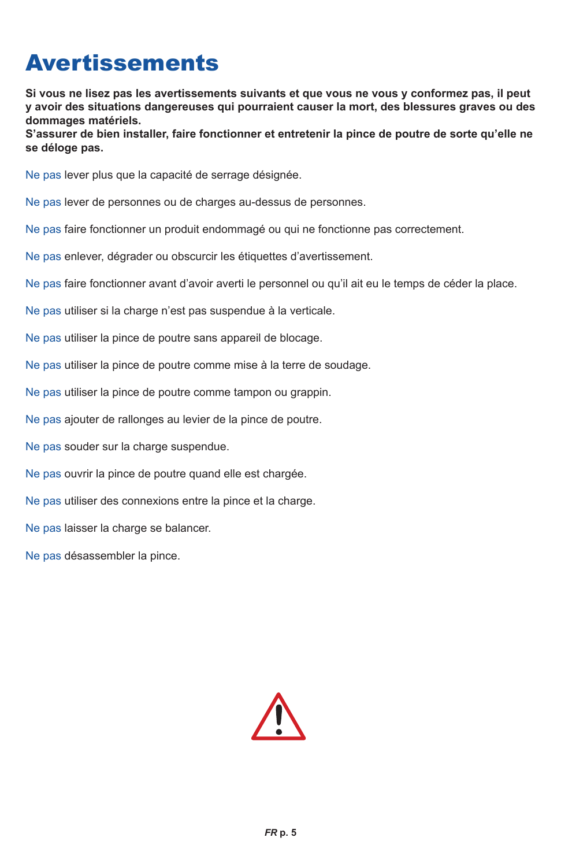### **Avertissements**

**Si vous ne lisez pas les avertissements suivants et que vous ne vous y conformez pas, il peut y avoir des situations dangereuses qui pourraient causer la mort, des blessures graves ou des dommages matériels.**

**S'assurer de bien installer, faire fonctionner et entretenir la pince de poutre de sorte qu'elle ne se déloge pas.**

Ne pas lever plus que la capacité de serrage désignée.

Ne pas lever de personnes ou de charges au-dessus de personnes.

Ne pas faire fonctionner un produit endommagé ou qui ne fonctionne pas correctement.

Ne pas enlever, dégrader ou obscurcir les étiquettes d'avertissement.

Ne pas faire fonctionner avant d'avoir averti le personnel ou qu'il ait eu le temps de céder la place.

Ne pas utiliser si la charge n'est pas suspendue à la verticale.

Ne pas utiliser la pince de poutre sans appareil de blocage.

Ne pas utiliser la pince de poutre comme mise à la terre de soudage.

Ne pas utiliser la pince de poutre comme tampon ou grappin.

Ne pas ajouter de rallonges au levier de la pince de poutre.

Ne pas souder sur la charge suspendue.

Ne pas ouvrir la pince de poutre quand elle est chargée.

Ne pas utiliser des connexions entre la pince et la charge.

Ne pas laisser la charge se balancer.

Ne pas désassembler la pince.

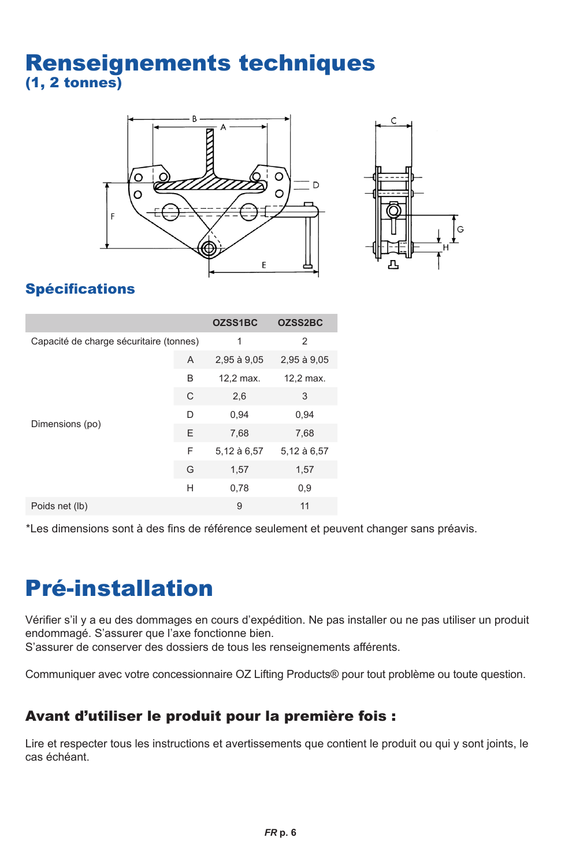### Renseignements techniques (1, 2 tonnes)





### Spécifications

|                                         |   | OZSS1BC     | OZSS2BC        |
|-----------------------------------------|---|-------------|----------------|
| Capacité de charge sécuritaire (tonnes) |   | 1           | $\overline{2}$ |
|                                         | A | 2,95 à 9,05 | 2,95 à 9,05    |
| Dimensions (po)                         | B | 12,2 max.   | 12,2 max.      |
|                                         | C | 2,6         | 3              |
|                                         | D | 0,94        | 0,94           |
|                                         | Ε | 7,68        | 7,68           |
|                                         | F | 5,12 à 6,57 | 5,12 à 6,57    |
|                                         | G | 1,57        | 1,57           |
|                                         | Н | 0.78        | 0,9            |
| Poids net (lb)                          |   | 9           | 11             |

\*Les dimensions sont à des fins de référence seulement et peuvent changer sans préavis.

### Pré-installation

Vérifier s'il y a eu des dommages en cours d'expédition. Ne pas installer ou ne pas utiliser un produit endommagé. S'assurer que l'axe fonctionne bien. S'assurer de conserver des dossiers de tous les renseignements afférents.

Communiquer avec votre concessionnaire OZ Lifting Products® pour tout problème ou toute question.

#### Avant d'utiliser le produit pour la première fois :

Lire et respecter tous les instructions et avertissements que contient le produit ou qui y sont joints, le cas échéant.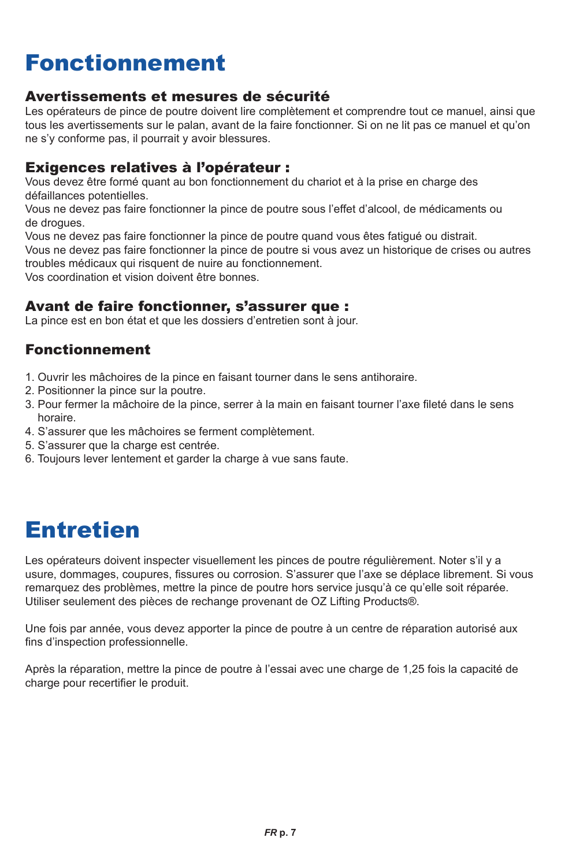### Fonctionnement

#### Avertissements et mesures de sécurité

Les opérateurs de pince de poutre doivent lire complètement et comprendre tout ce manuel, ainsi que tous les avertissements sur le palan, avant de la faire fonctionner. Si on ne lit pas ce manuel et qu'on ne s'y conforme pas, il pourrait y avoir blessures.

#### Exigences relatives à l'opérateur :

Vous devez être formé quant au bon fonctionnement du chariot et à la prise en charge des défaillances potentielles.

Vous ne devez pas faire fonctionner la pince de poutre sous l'effet d'alcool, de médicaments ou de drogues.

Vous ne devez pas faire fonctionner la pince de poutre quand vous êtes fatigué ou distrait.

Vous ne devez pas faire fonctionner la pince de poutre si vous avez un historique de crises ou autres troubles médicaux qui risquent de nuire au fonctionnement.

Vos coordination et vision doivent être bonnes.

#### Avant de faire fonctionner, s'assurer que :

La pince est en bon état et que les dossiers d'entretien sont à jour.

#### Fonctionnement

- 1. Ouvrir les mâchoires de la pince en faisant tourner dans le sens antihoraire.
- 2. Positionner la pince sur la poutre.
- 3. Pour fermer la mâchoire de la pince, serrer à la main en faisant tourner l'axe fileté dans le sens horaire.
- 4. S'assurer que les mâchoires se ferment complètement.
- 5. S'assurer que la charge est centrée.
- 6. Toujours lever lentement et garder la charge à vue sans faute.

### Entretien

Les opérateurs doivent inspecter visuellement les pinces de poutre régulièrement. Noter s'il y a usure, dommages, coupures, fissures ou corrosion. S'assurer que l'axe se déplace librement. Si vous remarquez des problèmes, mettre la pince de poutre hors service jusqu'à ce qu'elle soit réparée. Utiliser seulement des pièces de rechange provenant de OZ Lifting Products®.

Une fois par année, vous devez apporter la pince de poutre à un centre de réparation autorisé aux fins d'inspection professionnelle.

Après la réparation, mettre la pince de poutre à l'essai avec une charge de 1,25 fois la capacité de charge pour recertifier le produit.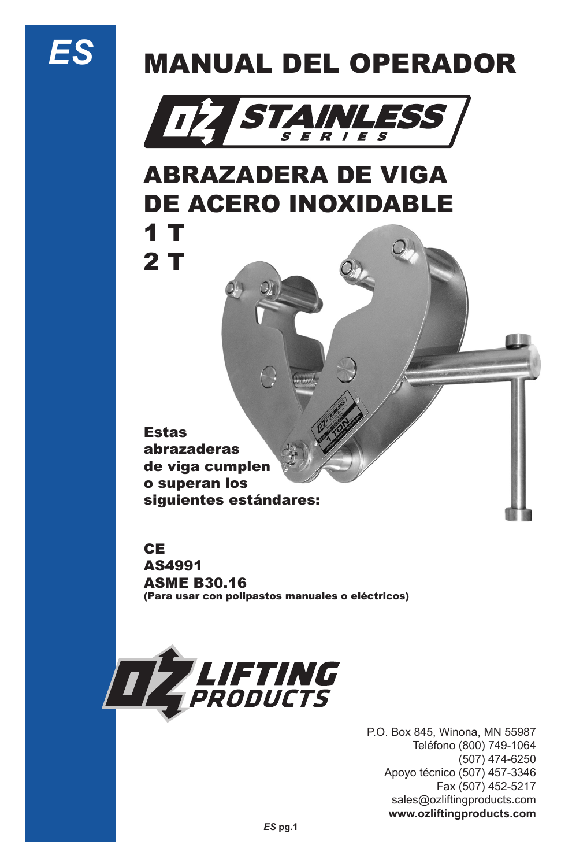# *ES*

# MANUAL DEL OPERADOR



### ABRAZADERA DE VIGA DE ACERO INOXIDABLE 1 T

2 T

Estas abrazaderas de viga cumplen o superan los siguientes estándares:

#### **CE**

AS4991 ASME B30.16 (Para usar con polipastos manuales o eléctricos)



P.O. Box 845, Winona, MN 55987 Teléfono (800) 749-1064 (507) 474-6250 Apoyo técnico (507) 457-3346 Fax (507) 452-5217 sales@ozliftingproducts.com **www.ozliftingproducts.com**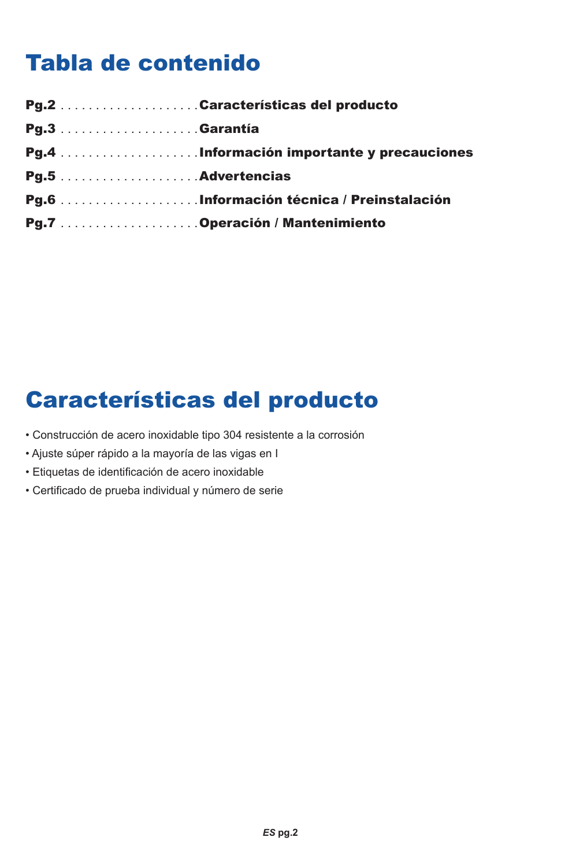### Tabla de contenido

### Características del producto

- Construcción de acero inoxidable tipo 304 resistente a la corrosión
- Ajuste súper rápido a la mayoría de las vigas en I
- Etiquetas de identificación de acero inoxidable
- Certificado de prueba individual y número de serie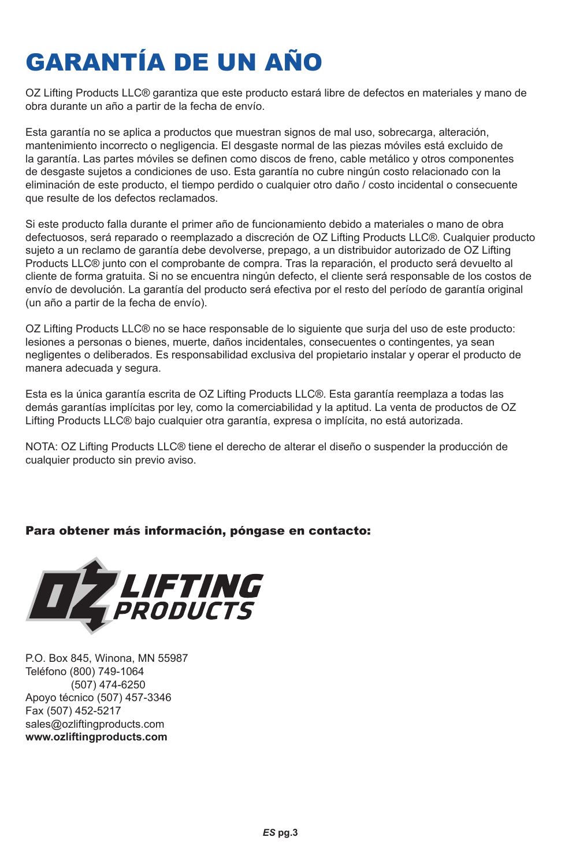# GARANTÍA DE UN AÑO

OZ Lifting Products LLC® garantiza que este producto estará libre de defectos en materiales y mano de obra durante un año a partir de la fecha de envío.

Esta garantía no se aplica a productos que muestran signos de mal uso, sobrecarga, alteración, mantenimiento incorrecto o negligencia. El desgaste normal de las piezas móviles está excluido de la garantía. Las partes móviles se definen como discos de freno, cable metálico y otros componentes de desgaste sujetos a condiciones de uso. Esta garantía no cubre ningún costo relacionado con la eliminación de este producto, el tiempo perdido o cualquier otro daño / costo incidental o consecuente que resulte de los defectos reclamados.

Si este producto falla durante el primer año de funcionamiento debido a materiales o mano de obra defectuosos, será reparado o reemplazado a discreción de OZ Lifting Products LLC®. Cualquier producto sujeto a un reclamo de garantía debe devolverse, prepago, a un distribuidor autorizado de OZ Lifting Products LLC® junto con el comprobante de compra. Tras la reparación, el producto será devuelto al cliente de forma gratuita. Si no se encuentra ningún defecto, el cliente será responsable de los costos de envío de devolución. La garantía del producto será efectiva por el resto del período de garantía original (un año a partir de la fecha de envío).

OZ Lifting Products LLC® no se hace responsable de lo siguiente que surja del uso de este producto: lesiones a personas o bienes, muerte, daños incidentales, consecuentes o contingentes, ya sean negligentes o deliberados. Es responsabilidad exclusiva del propietario instalar y operar el producto de manera adecuada y segura.

Esta es la única garantía escrita de OZ Lifting Products LLC®. Esta garantía reemplaza a todas las demás garantías implícitas por ley, como la comerciabilidad y la aptitud. La venta de productos de OZ Lifting Products LLC® bajo cualquier otra garantía, expresa o implícita, no está autorizada.

NOTA: OZ Lifting Products LLC® tiene el derecho de alterar el diseño o suspender la producción de cualquier producto sin previo aviso.

#### Para obtener más información, póngase en contacto:



P.O. Box 845, Winona, MN 55987 Teléfono (800) 749-1064 (507) 474-6250 Apoyo técnico (507) 457-3346 Fax (507) 452-5217 sales@ozliftingproducts.com **www.ozliftingproducts.com**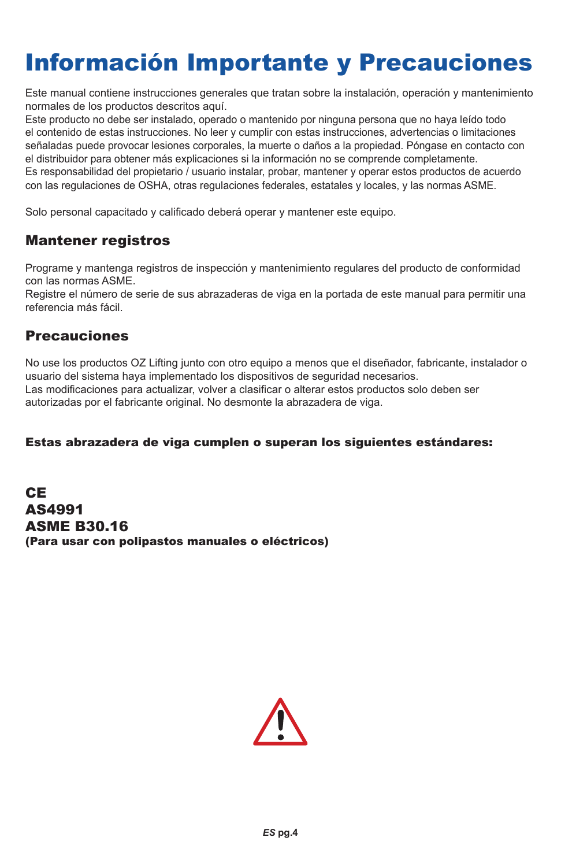### Información Importante y Precauciones

Este manual contiene instrucciones generales que tratan sobre la instalación, operación y mantenimiento normales de los productos descritos aquí.

Este producto no debe ser instalado, operado o mantenido por ninguna persona que no haya leído todo el contenido de estas instrucciones. No leer y cumplir con estas instrucciones, advertencias o limitaciones señaladas puede provocar lesiones corporales, la muerte o daños a la propiedad. Póngase en contacto con el distribuidor para obtener más explicaciones si la información no se comprende completamente. Es responsabilidad del propietario / usuario instalar, probar, mantener y operar estos productos de acuerdo con las regulaciones de OSHA, otras regulaciones federales, estatales y locales, y las normas ASME.

Solo personal capacitado y calificado deberá operar y mantener este equipo.

#### Mantener registros

Programe y mantenga registros de inspección y mantenimiento regulares del producto de conformidad con las normas ASME.

Registre el número de serie de sus abrazaderas de viga en la portada de este manual para permitir una referencia más fácil.

#### Precauciones

No use los productos OZ Lifting junto con otro equipo a menos que el diseñador, fabricante, instalador o usuario del sistema haya implementado los dispositivos de seguridad necesarios. Las modificaciones para actualizar, volver a clasificar o alterar estos productos solo deben ser autorizadas por el fabricante original. No desmonte la abrazadera de viga.

#### Estas abrazadera de viga cumplen o superan los siguientes estándares:

CE AS4991 ASME B30.16 (Para usar con polipastos manuales o eléctricos)

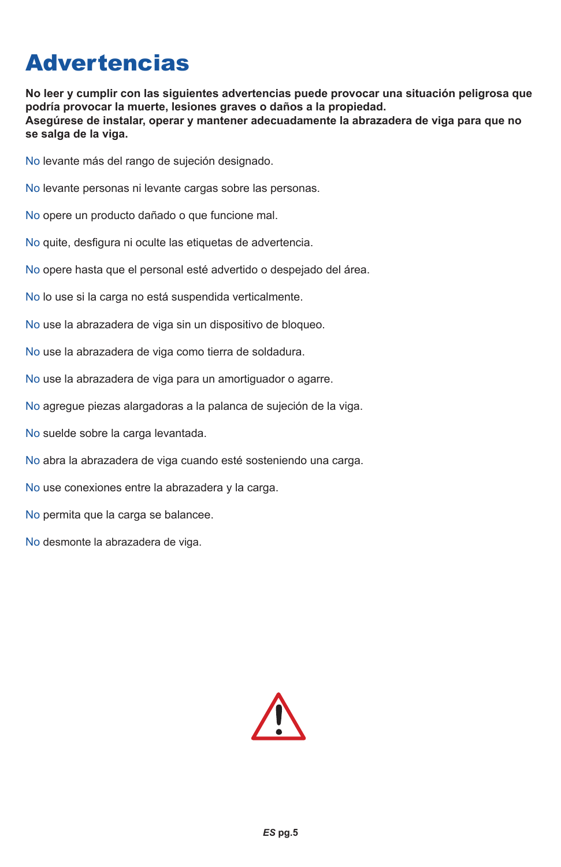### **Advertencias**

**No leer y cumplir con las siguientes advertencias puede provocar una situación peligrosa que podría provocar la muerte, lesiones graves o daños a la propiedad. Asegúrese de instalar, operar y mantener adecuadamente la abrazadera de viga para que no se salga de la viga.**

No levante más del rango de sujeción designado.

No levante personas ni levante cargas sobre las personas.

No opere un producto dañado o que funcione mal.

No quite, desfigura ni oculte las etiquetas de advertencia.

No opere hasta que el personal esté advertido o despejado del área.

No lo use si la carga no está suspendida verticalmente.

No use la abrazadera de viga sin un dispositivo de bloqueo.

No use la abrazadera de viga como tierra de soldadura.

No use la abrazadera de viga para un amortiguador o agarre.

No agregue piezas alargadoras a la palanca de sujeción de la viga.

No suelde sobre la carga levantada.

No abra la abrazadera de viga cuando esté sosteniendo una carga.

No use conexiones entre la abrazadera y la carga.

No permita que la carga se balancee.

No desmonte la abrazadera de viga.

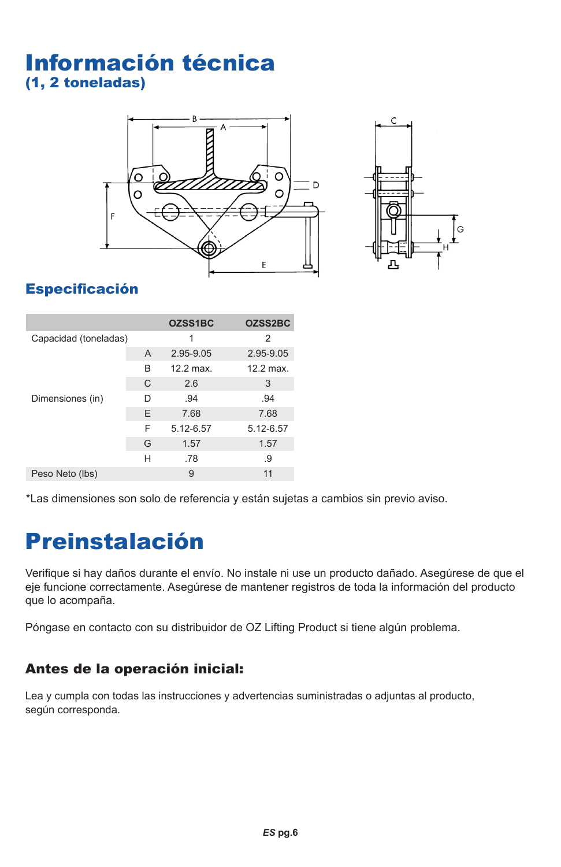### Información técnica (1, 2 toneladas)





### Especificación

|                       |   | OZSS1BC            | OZSS2BC   |
|-----------------------|---|--------------------|-----------|
| Capacidad (toneladas) |   | 1                  | 2         |
|                       | A | 2.95-9.05          | 2.95-9.05 |
|                       | в | $12.2 \text{ max}$ | 12.2 max. |
|                       | C | 2.6                | 3         |
| Dimensiones (in)      | D | .94                | .94       |
|                       | E | 7.68               | 7.68      |
|                       | F | 5.12-6.57          | 5.12-6.57 |
|                       | G | 1.57               | 1.57      |
|                       | н | .78                | .9        |
| Peso Neto (lbs)       |   | 9                  | 11        |

\*Las dimensiones son solo de referencia y están sujetas a cambios sin previo aviso.

### Preinstalación

Verifique si hay daños durante el envío. No instale ni use un producto dañado. Asegúrese de que el eje funcione correctamente. Asegúrese de mantener registros de toda la información del producto que lo acompaña.

Póngase en contacto con su distribuidor de OZ Lifting Product si tiene algún problema.

#### Antes de la operación inicial:

Lea y cumpla con todas las instrucciones y advertencias suministradas o adjuntas al producto, según corresponda.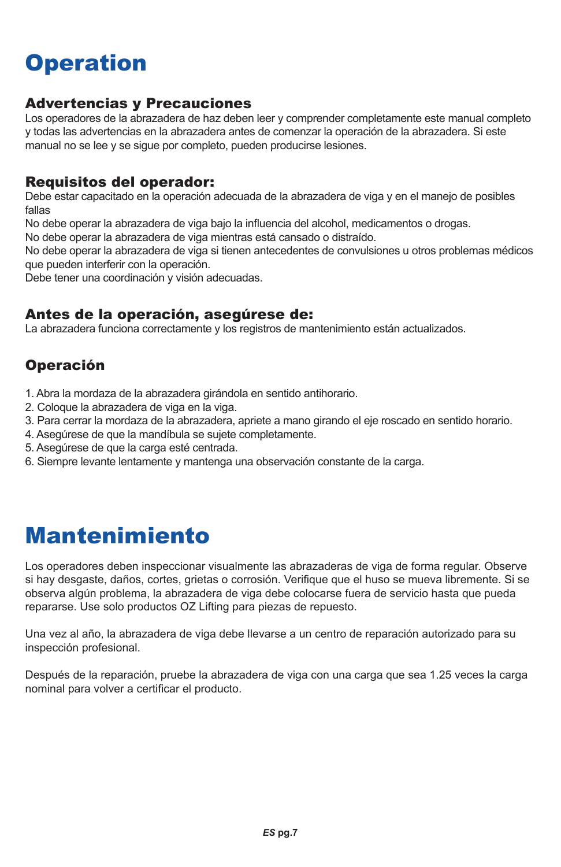### **Operation**

#### Advertencias y Precauciones

Los operadores de la abrazadera de haz deben leer y comprender completamente este manual completo y todas las advertencias en la abrazadera antes de comenzar la operación de la abrazadera. Si este manual no se lee y se sigue por completo, pueden producirse lesiones.

#### Requisitos del operador:

Debe estar capacitado en la operación adecuada de la abrazadera de viga y en el manejo de posibles fallas

No debe operar la abrazadera de viga bajo la influencia del alcohol, medicamentos o drogas.

No debe operar la abrazadera de viga mientras está cansado o distraído.

No debe operar la abrazadera de viga si tienen antecedentes de convulsiones u otros problemas médicos que pueden interferir con la operación.

Debe tener una coordinación y visión adecuadas.

#### Antes de la operación, asegúrese de:

La abrazadera funciona correctamente y los registros de mantenimiento están actualizados.

#### Operación

1. Abra la mordaza de la abrazadera girándola en sentido antihorario.

- 2. Coloque la abrazadera de viga en la viga.
- 3. Para cerrar la mordaza de la abrazadera, apriete a mano girando el eje roscado en sentido horario.
- 4. Asegúrese de que la mandíbula se sujete completamente.
- 5. Asegúrese de que la carga esté centrada.
- 6. Siempre levante lentamente y mantenga una observación constante de la carga.

### Mantenimiento

Los operadores deben inspeccionar visualmente las abrazaderas de viga de forma regular. Observe si hay desgaste, daños, cortes, grietas o corrosión. Verifique que el huso se mueva libremente. Si se observa algún problema, la abrazadera de viga debe colocarse fuera de servicio hasta que pueda repararse. Use solo productos OZ Lifting para piezas de repuesto.

Una vez al año, la abrazadera de viga debe llevarse a un centro de reparación autorizado para su inspección profesional.

Después de la reparación, pruebe la abrazadera de viga con una carga que sea 1.25 veces la carga nominal para volver a certificar el producto.